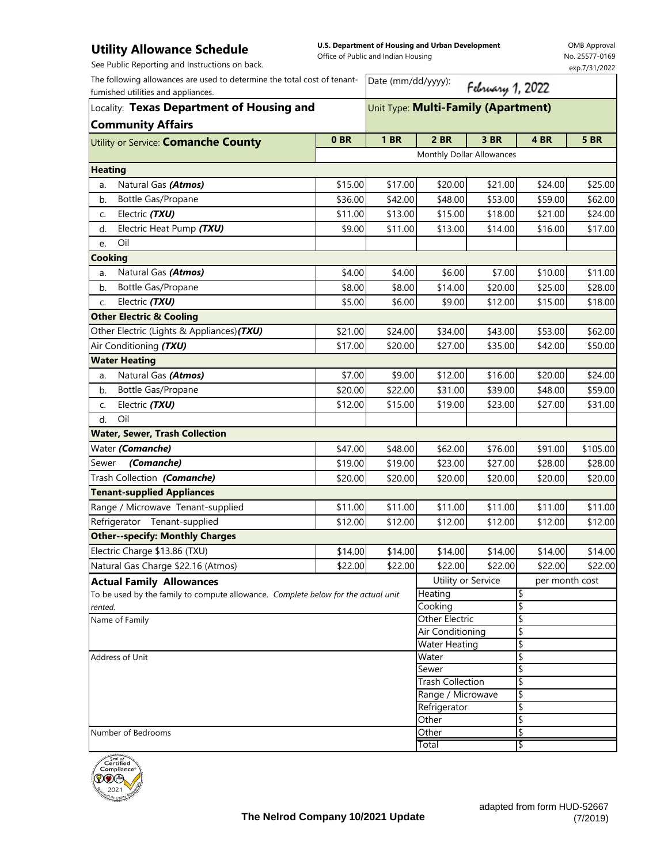## **Utility Allowance Schedule**

**U.S. Department of Housing and Urban Development** 

OMB Approval No. 25577-0169 exp.7/31/2022

| <b>UTHILA UNIVERSED SCILEMATE</b><br>See Public Reporting and Instructions on back.                             | Office of Public and Indian Housing |                                     |         |                  |         |               |  |  |  |  |
|-----------------------------------------------------------------------------------------------------------------|-------------------------------------|-------------------------------------|---------|------------------|---------|---------------|--|--|--|--|
| The following allowances are used to determine the total cost of tenant-<br>furnished utilities and appliances. |                                     | Date (mm/dd/yyyy):                  |         | February 1, 2022 |         | exp.7/31/2022 |  |  |  |  |
| Locality: Texas Department of Housing and                                                                       |                                     | Unit Type: Multi-Family (Apartment) |         |                  |         |               |  |  |  |  |
| <b>Community Affairs</b>                                                                                        |                                     |                                     |         |                  |         |               |  |  |  |  |
| Utility or Service: <b>Comanche County</b>                                                                      | 0 <sub>BR</sub>                     | <b>1 BR</b>                         | 2 BR    | 3 BR             | 4 BR    | <b>5 BR</b>   |  |  |  |  |
|                                                                                                                 |                                     | Monthly Dollar Allowances           |         |                  |         |               |  |  |  |  |
| <b>Heating</b>                                                                                                  |                                     |                                     |         |                  |         |               |  |  |  |  |
| Natural Gas (Atmos)<br>a.                                                                                       | \$15.00                             | \$17.00                             | \$20.00 | \$21.00          | \$24.00 | \$25.00       |  |  |  |  |
| Bottle Gas/Propane<br>b.                                                                                        | \$36.00                             | \$42.00                             | \$48.00 | \$53.00          | \$59.00 | \$62.00       |  |  |  |  |
| Electric (TXU)<br>C.                                                                                            | \$11.00                             | \$13.00                             | \$15.00 | \$18.00          | \$21.00 | \$24.00       |  |  |  |  |
| Electric Heat Pump (TXU)<br>d.                                                                                  | \$9.00                              | \$11.00                             | \$13.00 | \$14.00          | \$16.00 | \$17.00       |  |  |  |  |
| Oil<br>e.                                                                                                       |                                     |                                     |         |                  |         |               |  |  |  |  |
| <b>Cooking</b>                                                                                                  |                                     |                                     |         |                  |         |               |  |  |  |  |
| Natural Gas (Atmos)<br>a.                                                                                       | \$4.00                              | \$4.00                              | \$6.00  | \$7.00           | \$10.00 | \$11.00       |  |  |  |  |
| <b>Bottle Gas/Propane</b><br>b.                                                                                 | \$8.00                              | \$8.00                              | \$14.00 | \$20.00          | \$25.00 | \$28.00       |  |  |  |  |
| Electric (TXU)<br>C.                                                                                            | \$5.00                              | \$6.00                              | \$9.00  | \$12.00          | \$15.00 | \$18.00       |  |  |  |  |
| <b>Other Electric &amp; Cooling</b>                                                                             |                                     |                                     |         |                  |         |               |  |  |  |  |
| Other Electric (Lights & Appliances)(TXU)                                                                       | \$21.00                             | \$24.00                             | \$34.00 | \$43.00          | \$53.00 | \$62.00       |  |  |  |  |
| Air Conditioning (TXU)                                                                                          | \$17.00                             | \$20.00                             | \$27.00 | \$35.00          | \$42.00 | \$50.00       |  |  |  |  |
| <b>Water Heating</b>                                                                                            |                                     |                                     |         |                  |         |               |  |  |  |  |
| Natural Gas (Atmos)<br>a.                                                                                       | \$7.00                              | \$9.00                              | \$12.00 | \$16.00          | \$20.00 | \$24.00       |  |  |  |  |
| Bottle Gas/Propane<br>b.                                                                                        | \$20.00                             | \$22.00                             | \$31.00 | \$39.00          | \$48.00 | \$59.00       |  |  |  |  |
| Electric (TXU)<br>C.                                                                                            | \$12.00                             | \$15.00                             | \$19.00 | \$23.00          | \$27.00 | \$31.00       |  |  |  |  |
| Oil<br>$d$ .                                                                                                    |                                     |                                     |         |                  |         |               |  |  |  |  |
| <b>Water, Sewer, Trash Collection</b>                                                                           |                                     |                                     |         |                  |         |               |  |  |  |  |
| Water (Comanche)                                                                                                | \$47.00                             | \$48.00                             | \$62.00 | \$76.00          | \$91.00 | \$105.00      |  |  |  |  |
| (Comanche)<br>Sewer                                                                                             | \$19.00                             | \$19.00                             | \$23.00 | \$27.00          | \$28.00 | \$28.00       |  |  |  |  |
| Trash Collection (Comanche)                                                                                     | \$20.00                             | \$20.00                             | \$20.00 | \$20.00          | \$20.00 | \$20.00       |  |  |  |  |
| <b>Tenant-supplied Appliances</b>                                                                               |                                     |                                     |         |                  |         |               |  |  |  |  |
| Range / Microwave Tenant-supplied                                                                               | \$11.00                             | \$11.00                             | \$11.00 | \$11.00          | \$11.00 | \$11.00       |  |  |  |  |
| Refrigerator Tenant-supplied                                                                                    | \$12.00                             | \$12.00                             | \$12.00 | \$12.00          | \$12.00 | \$12.00       |  |  |  |  |

\$14.00 \$14.00 \$14.00 \$14.00 \$14.00 \$14.00 \$22.00 \$22.00 \$22.00 \$22.00 \$22.00 \$22.00 per month cost Electric Charge \$13.86 (TXU) Natural Gas Charge \$22.16 (Atmos) **Other--specify: Monthly Charges** \$ \$ \$ To be used by the family to compute allowance. *Complete below for the actual unit rented.* **Actual Family Allowances** and **Actual Family Allowances** and **Utility or Service Heating** Cooking Name of Family **Other Electric Community Other Electric** \$ \$ \$ \$ \$ Address of Unit Total Air Conditioning Water Heating **Water** Sewer Trash Collection \$ Other \ Number of Bedrooms **Souther Section 2006** Cherren and Section 2011 12:00 12:00 Number of Bedrooms **Section 2012** Range / Microwave \$ Refrigerator \$